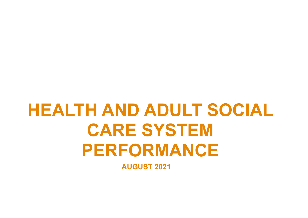# **HEALTH AND ADULT SOCIAL CARE SYSTEM PERFORMANCE AUGUST 2021**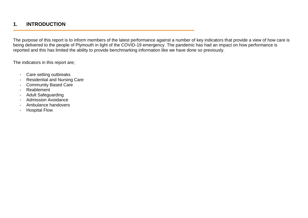## **1. INTRODUCTION**

The purpose of this report is to inform members of the latest performance against a number of key indicators that provide a view of how care is being delivered to the people of Plymouth in light of the COVID-19 emergency. The pandemic has had an impact on how performance is reported and this has limited the ability to provide benchmarking information like we have done so previously.

The indicators in this report are;

- Care setting outbreaks
- Residential and Nursing Care
- **Community Based Care**
- Reablement
- Adult Safeguarding
- Admission Avoidance
- Ambulance handovers
- Hospital Flow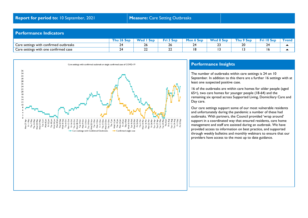#### **Performance Indicators**

|                                        | ™hu           | <b>Wed</b> | Fri 3 Sep | Mon 6 Sep | <b>Wed 8 Sep</b> | Thu 9 Sep           | $ri$ 10 Sep<br><b>Call</b> | ∡rend ≀ |
|----------------------------------------|---------------|------------|-----------|-----------|------------------|---------------------|----------------------------|---------|
| Care settings with confirmed outbreaks | <u>_</u>      |            | 26        | -         | <u>__</u>        | $\sim$ $\sim$<br>zv | _                          |         |
| Care settings with one confirmed case  | ∽<br><u>_</u> | . .<br>∸∸  | ~<br>--   | 10        |                  |                     |                            |         |



#### **Performance Insights**

The number of outbreaks within care settings is 24 on 10 September. In addition to this there are a further 16 settings with at least one suspected positive case.

16 of the outbreaks are within care homes for older people (aged 65+), two care homes for younger people (18-64) and the remaining six spread across Supported Living, Domiciliary Care and Day care.

Our care settings support some of our most vulnerable residents and unfortunately during the pandemic a number of these had outbreaks. With partners, the Council provided 'wrap around' support in a coordinated way that ensured residents, care home management and staff are assisted during an outbreak. We have provided access to information on best practice, and supported through weekly bulletins and monthly webinars to ensure that our providers have access to the most up to date guidance.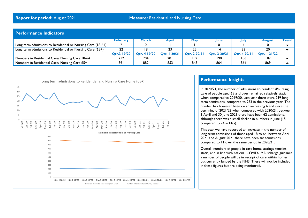#### **Performance Indicators**

|                                                             | <b>February</b> | <b>March</b> | April       | <b>May</b>   | <b>June</b>  | <b>July</b>  | <b>August</b> | <b>Trend</b> |
|-------------------------------------------------------------|-----------------|--------------|-------------|--------------|--------------|--------------|---------------|--------------|
| Long term admissions to Residential or Nursing Care (18-64) |                 |              |             |              |              |              |               |              |
| Long term admissions to Residential or Nursing Care (65+)   | 22              | 18           | 23          | 25           |              |              | 20            |              |
|                                                             | Otr.3 19/20     | Otr. 4 19/20 | Otr.   20/2 | Otr. 2 20/21 | Otr. 3 20/21 | Otr. 4 20/21 | Otr.   21/22  |              |
| Numbers in Residential Care/ Nursing Care 18-64             | 212             | 204          | <b>201</b>  | 197          | 190          | 186          | 187           |              |
| Numbers in Residential Care/ Nursing Care 65+               | 89              | 882          | 853         | 848          | 864          | 864          | 869           |              |



#### **Performance Insights**

In 2020/21, the number of admissions to residential/nursing care of people aged 65 and over remained relatively static when compared to 2019/20. Last year there were 239 long term admissions, compared to 253 in the previous year. The number has however been on an increasing trend since the beginning of 2021/22 when compared with 2020/21; between 1 April and 30 June 2021 there have been 62 admissions, although there was a small decline in numbers in June (15 compared to 24 in May).

This year we have recorded an increase in the number of long term admissions of those aged 18 to 64, between April 2021 and August 2021 there have been six admissions, compared to 11 over the same period in 2020/21.

Overall, numbers of people in care home settings remains static, and in line with national COVID-19 Discharge guidance a number of people will be in receipt of care within homes but currently funded by the NHS. These will not be included in these figures but are being monitored.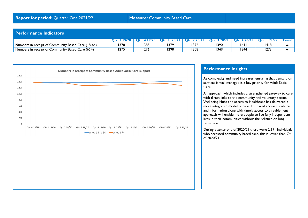#### **Performance Indicators**

|                                                    | ∩fr  | 19/20<br>$\mathbf{O}$ tr | Otr. | רוחר<br>Otr. | 20/2<br>$Q_{\text{tr}}$ | l 2012<br>ntr ( | רמות<br>ntr: | $\tau$ rend |
|----------------------------------------------------|------|--------------------------|------|--------------|-------------------------|-----------------|--------------|-------------|
| Numbers in receipt of Community Based Care (18-64) | 1370 | 385                      | 379  | 1372         | 390                     |                 | 418          |             |
| Numbers in receipt of Community Based Care (65+)   | 1275 | 276                      | 1298 | 308          | 349                     | 344             | 1273         |             |



#### **Performance Insights**

As complexity and need increases, ensuring that demand on services is well managed is a key priority for Adult Social

An approach which includes a strengthened gateway to care with direct links to the community and voluntary sector, Wellbeing Hubs and access to Healthcare has delivered a more integrated model of care. Improved access to advice and information along with timely access to a reablement approach will enable more people to live fully independent lives in their communities without the reliance on long

During quarter one of 2020/21 there were 2,691 individuals who accessed community based care, this is lower than Q4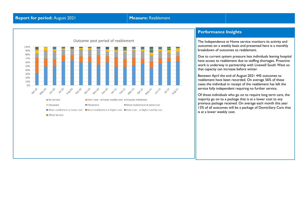

The Independence at Home service monitors its activity and outcomes on a weekly basis and presented here is a monthly breakdown of outcomes to reablement.

Due to current system pressure less individuals leaving hospital have access to reablement due to staffing shortages. Proactive work is underway in partnership with Livewell South West so that capacity can increase before winter.

Between April the end of August 2021 445 outcomes to reablement have been recorded. On average 56% of these cases the individual in receipt of the reablement has left the service fully independent requiring no further service.

Of those individuals who go on to require long term care, the majority go on to a package that is at a lower cost to any previous package received. On average each month this year 13% of all outcomes will be a package of Domiciliary Care that is at a lower weekly cost.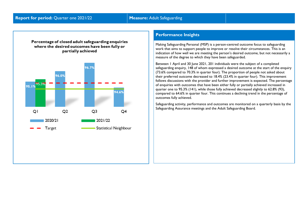



Making Safeguarding Personal (MSP) is a person-centred outcome focus to safeguarding work that aims to support people to improve or resolve their circumstances. This is an indication of how well we are meeting the person's desired outcome, but not necessarily a measure of the degree to which they have been safeguarded.

Between 1 April and 30 June 2021, 201 individuals were the subject of a completed safeguarding enquiry, 148 of whom expressed a desired outcome at the start of the enquiry (73.6% compared to 70.3% in quarter four). The proportion of people not asked about their preferred outcome decreased to 18.4% (23.4% in quarter four). This improvement follows discussions with the provider and further improvement is expected. The percentage of enquiries with outcomes that have been either fully or partially achieved increased in quarter one to 95.3% (141), while those fully achieved decreased slightly to 62.8% (93), compared to 64.6% in quarter four. This continues a declining trend in the percentage of outcomes fully achieved.

Safeguarding activity, performance and outcomes are monitored on a quarterly basis by the Safeguarding Assurance meetings and the Adult Safeguarding Board.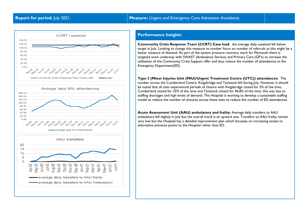

**Community Crisis Response Team (CCRT) Case load**: the average daily caseload fell below target in July. Looking to change this measure to number focus on number of referrals as this might be a better measure of demand. As part of the system pressure recovery work for Plymouth there is targeted work underway with SWAST (Ambulance Service) and Primary Care (GP's) to increase the utilisation of the Community Crisis Support offer and thus reduce the number of attendances at the Emergency Department(ED)

**Type 3 (Minor Injuries Unit (MIU)/Urgent Treatment Centre (UTC)) attendances:** The number across the Cumberland Centre, Kingsbridge and Tavistock fell during July. However it should be noted that all sites experienced periods of closure with Kingsbridge closed for 5% of the time, Cumberland closed for 25% of the time and Tavistock closed for 46.8% of the time, this was due to staffing shortages and high levels of demand. The Hospital is working to develop a sustainable staffing model to reduce the number of closures across these sites to reduce the number of ED attendances.

**Acute Assessment Unit (AAU) ambulatory and frailty:** Average daily transfers to AAU ambulatory fell slightly in July but the overall trend is an upward one. Transfers to AAU frailty remain very low but the Hospital has a detailed improvement plan which focusses on increasing access to alternative entrance points to the Hospital rather than ED.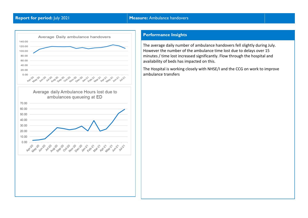

The average daily number of ambulance handovers fell slightly during July. However the number of the ambulance time lost due to delays over 15 minutes / time lost increased significantly. Flow through the hospital and availability of beds has impacted on this.

The Hospital is working closely with NHSE/I and the CCG on work to improve ambulance transfers